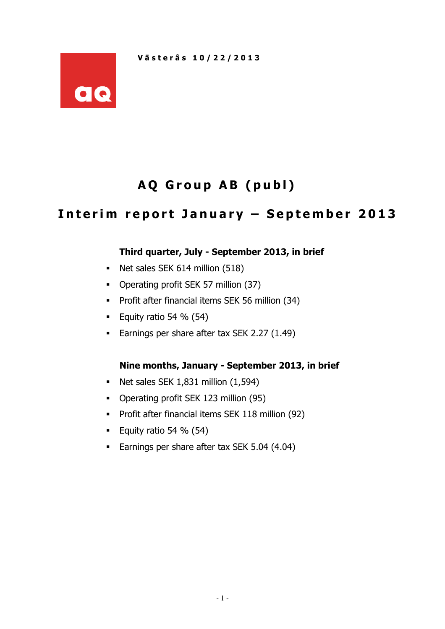

# AQ Group AB (publ)

# Interim report January - September 2013

## Third quarter, July - September 2013, in brief

- Net sales SEK 614 million (518)
- Operating profit SEK 57 million (37)
- **Profit after financial items SEK 56 million (34)**
- Equity ratio 54 %  $(54)$
- **Earnings per share after tax SEK 2.27 (1.49)**

## Nine months, January - September 2013, in brief

- $\blacksquare$  Net sales SEK 1,831 million (1,594)
- Operating profit SEK 123 million (95)
- **Profit after financial items SEK 118 million (92)**
- Equity ratio 54 %  $(54)$
- **Earnings per share after tax SEK 5.04 (4.04)**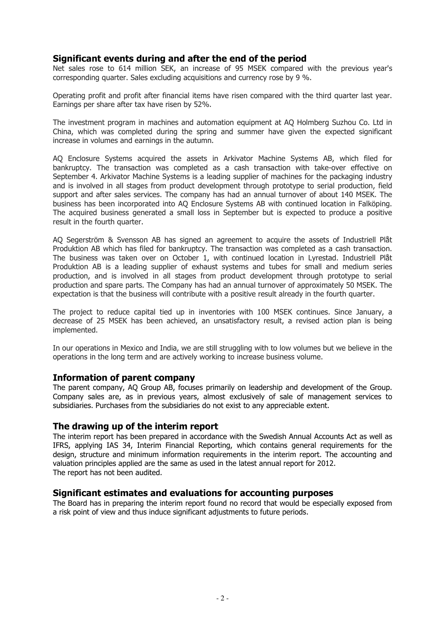#### Significant events during and after the end of the period

Net sales rose to 614 million SEK, an increase of 95 MSEK compared with the previous year's corresponding quarter. Sales excluding acquisitions and currency rose by 9 %.

Operating profit and profit after financial items have risen compared with the third quarter last year. Earnings per share after tax have risen by 52%.

The investment program in machines and automation equipment at AQ Holmberg Suzhou Co. Ltd in China, which was completed during the spring and summer have given the expected significant increase in volumes and earnings in the autumn.

AQ Enclosure Systems acquired the assets in Arkivator Machine Systems AB, which filed for bankruptcy. The transaction was completed as a cash transaction with take-over effective on September 4. Arkivator Machine Systems is a leading supplier of machines for the packaging industry and is involved in all stages from product development through prototype to serial production, field support and after sales services. The company has had an annual turnover of about 140 MSEK. The business has been incorporated into AQ Enclosure Systems AB with continued location in Falköping. The acquired business generated a small loss in September but is expected to produce a positive result in the fourth quarter.

AQ Segerström & Svensson AB has signed an agreement to acquire the assets of Industriell Plåt Produktion AB which has filed for bankruptcy. The transaction was completed as a cash transaction. The business was taken over on October 1, with continued location in Lyrestad. Industriell Plåt Produktion AB is a leading supplier of exhaust systems and tubes for small and medium series production, and is involved in all stages from product development through prototype to serial production and spare parts. The Company has had an annual turnover of approximately 50 MSEK. The expectation is that the business will contribute with a positive result already in the fourth quarter.

The project to reduce capital tied up in inventories with 100 MSEK continues. Since January, a decrease of 25 MSEK has been achieved, an unsatisfactory result, a revised action plan is being implemented.

In our operations in Mexico and India, we are still struggling with to low volumes but we believe in the operations in the long term and are actively working to increase business volume.

#### Information of parent company

The parent company, AQ Group AB, focuses primarily on leadership and development of the Group. Company sales are, as in previous years, almost exclusively of sale of management services to subsidiaries. Purchases from the subsidiaries do not exist to any appreciable extent.

#### The drawing up of the interim report

The interim report has been prepared in accordance with the Swedish Annual Accounts Act as well as IFRS, applying IAS 34, Interim Financial Reporting, which contains general requirements for the design, structure and minimum information requirements in the interim report. The accounting and valuation principles applied are the same as used in the latest annual report for 2012. The report has not been audited.

#### Significant estimates and evaluations for accounting purposes

The Board has in preparing the interim report found no record that would be especially exposed from a risk point of view and thus induce significant adjustments to future periods.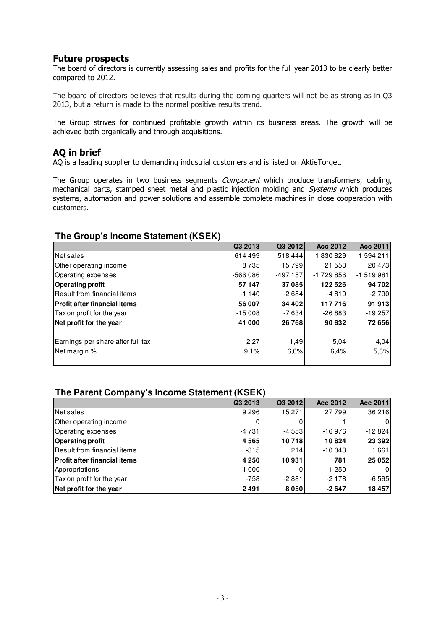### Future prospects

The board of directors is currently assessing sales and profits for the full year 2013 to be clearly better compared to 2012.

The board of directors believes that results during the coming quarters will not be as strong as in Q3 2013, but a return is made to the normal positive results trend.

The Group strives for continued profitable growth within its business areas. The growth will be achieved both organically and through acquisitions.

### AQ in brief

AQ is a leading supplier to demanding industrial customers and is listed on AktieTorget.

The Group operates in two business segments *Component* which produce transformers, cabling, mechanical parts, stamped sheet metal and plastic injection molding and Systems which produces systems, automation and power solutions and assemble complete machines in close cooperation with customers.

#### **The Group's Income Statement (KSEK)**

|                                     | Q3 2013   | Q3 2012      | Acc 2012   | Acc 2011   |
|-------------------------------------|-----------|--------------|------------|------------|
| Net sales                           | 614499    | 518444       | 1830829    | 1594211    |
| Other operating income              | 8735      | 15799        | 21 5 5 3   | 20473      |
| Operating expenses                  | $-566086$ | $-497$ 157   | $-1729856$ | $-1519981$ |
| <b>Operating profit</b>             | 57 147    | 37085        | 122 526    | 94 702     |
| Result from financial items         | $-1140$   | $-2684$      | $-4810$    | $-2790$    |
| <b>Profit after financial items</b> | 56 007    | 34 402       | 117716     | 91913      |
| Tax on profit for the year          | $-15008$  | $-7634$      | $-26883$   | $-19257$   |
| Net profit for the year             | 41 000    | <b>26768</b> | 90832      | 72 656     |
| Earnings per share after full tax   | 2,27      | 1,49         | 5,04       | 4,04       |
| Net margin %                        | 9.1%      | 6,6%         | 6.4%       | 5,8%       |
|                                     |           |              |            |            |

#### **The Parent Company's Income Statement (KSEK)**

|                                     | Q3 2013 | Q3 2012 | Acc 2012 | Acc 2011 |
|-------------------------------------|---------|---------|----------|----------|
| Net sales                           | 9 2 9 6 | 15 271  | 27799    | 36 216   |
| Other operating income              | 0       |         |          |          |
| Operating expenses                  | $-4731$ | $-4553$ | $-16976$ | $-12824$ |
| <b>Operating profit</b>             | 4565    | 10718   | 10824    | 23 3 9 2 |
| <b>Result from financial items</b>  | $-315$  | 214     | $-10043$ | 1661     |
| <b>Profit after financial items</b> | 4 2 5 0 | 10931   | 781      | 25 052   |
| Appropriations                      | $-1000$ |         | $-1250$  |          |
| Tax on profit for the year          | $-758$  | -2881   | $-2178$  | $-6595$  |
| Net profit for the year             | 2491    | 8050    | $-2647$  | 18457    |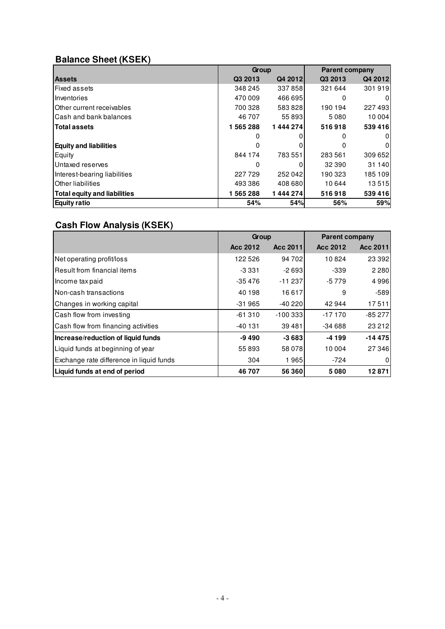# **Balance Sheet (KSEK)**

|                                     | Group   |         | <b>Parent company</b> |         |  |
|-------------------------------------|---------|---------|-----------------------|---------|--|
| <b>Assets</b>                       | Q3 2013 | Q4 2012 | Q3 2013               | Q4 2012 |  |
| <b>Fixed assets</b>                 | 348 245 | 337858  | 321 644               | 301919  |  |
| Inventories                         | 470 009 | 466 695 | 0                     | 0       |  |
| Other current receivables           | 700 328 | 583828  | 190 194               | 227493  |  |
| lCash and bank balances             | 46 707  | 55 893  | 5080                  | 10 004  |  |
| <b>Total assets</b>                 | 1565288 | 1444274 | 516918                | 539416  |  |
|                                     |         |         |                       | 0       |  |
| <b>Equity and liabilities</b>       | 0       | 0       | 0                     | 0       |  |
| Equity                              | 844 174 | 783 551 | 283 561               | 309 652 |  |
| Untaxed reserves                    | 0       | 0       | 32 390                | 31 140  |  |
| Interest-bearing liabilities        | 227729  | 252 042 | 190 323               | 185 109 |  |
| <b>Other liabilities</b>            | 493 386 | 408 680 | 10 644                | 13515   |  |
| <b>Total equity and liabilities</b> | 1565288 | 1444274 | 516918                | 539416  |  |
| <b>Equity ratio</b>                 | 54%     | 54%     | 56%                   | 59%     |  |

# **Cash Flow Analysis (KSEK)**

|                                          | Group    |           | <b>Parent company</b> |          |  |
|------------------------------------------|----------|-----------|-----------------------|----------|--|
|                                          | Acc 2012 | Acc 2011  | Acc 2012              | Acc 2011 |  |
| Net operating profit/loss                | 122 526  | 94 702    | 10824                 | 23 3 9 2 |  |
| l Result from financial items            | -3 331   | $-2693$   | $-339$                | 2 2 8 0  |  |
| Income tax paid                          | $-35476$ | $-11237$  | $-5779$               | 4996     |  |
| Non-cash transactions                    | 40 198   | 16617     | 9                     | $-589$   |  |
| Changes in working capital               | $-31965$ | $-40220$  | 42944                 | 17511    |  |
| Cash flow from investing                 | $-61310$ | $-100333$ | $-17170$              | $-85277$ |  |
| Cash flow from financing activities      | -40 131  | 39481     | $-34688$              | 23 21 2  |  |
| Increase/reduction of liquid funds       | $-9490$  | $-3683$   | $-4199$               | $-14475$ |  |
| Liquid funds at beginning of year        | 55893    | 58 078    | 10 004                | 27 346   |  |
| Exchange rate difference in liquid funds | 304      | 1965      | -724                  | 0        |  |
| Liquid funds at end of period            | 46707    | 56 360    | 5080                  | 12871    |  |